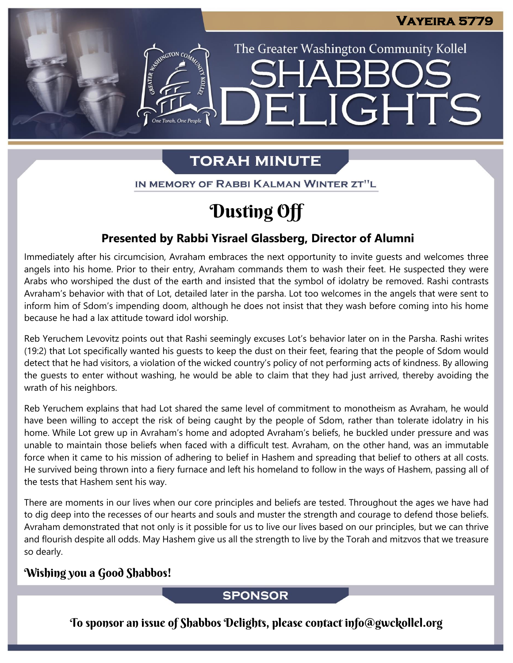The Greater Washington Community Kollel

ELIGHTS

# **TORAH MINUTE**

IN MEMORY OF RABBI KALMAN WINTER ZT"L

# Dusting Off

### **Presented by Rabbi Yisrael Glassberg, Director of Alumni**

Immediately after his circumcision, Avraham embraces the next opportunity to invite guests and welcomes three angels into his home. Prior to their entry, Avraham commands them to wash their feet. He suspected they were Arabs who worshiped the dust of the earth and insisted that the symbol of idolatry be removed. Rashi contrasts Avraham's behavior with that of Lot, detailed later in the parsha. Lot too welcomes in the angels that were sent to inform him of Sdom's impending doom, although he does not insist that they wash before coming into his home because he had a lax attitude toward idol worship.

Reb Yeruchem Levovitz points out that Rashi seemingly excuses Lot's behavior later on in the Parsha. Rashi writes (19:2) that Lot specifically wanted his guests to keep the dust on their feet, fearing that the people of Sdom would detect that he had visitors, a violation of the wicked country's policy of not performing acts of kindness. By allowing the guests to enter without washing, he would be able to claim that they had just arrived, thereby avoiding the wrath of his neighbors.

Reb Yeruchem explains that had Lot shared the same level of commitment to monotheism as Avraham, he would have been willing to accept the risk of being caught by the people of Sdom, rather than tolerate idolatry in his home. While Lot grew up in Avraham's home and adopted Avraham's beliefs, he buckled under pressure and was unable to maintain those beliefs when faced with a difficult test. Avraham, on the other hand, was an immutable force when it came to his mission of adhering to belief in Hashem and spreading that belief to others at all costs. He survived being thrown into a fiery furnace and left his homeland to follow in the ways of Hashem, passing all of the tests that Hashem sent his way.

There are moments in our lives when our core principles and beliefs are tested. Throughout the ages we have had to dig deep into the recesses of our hearts and souls and muster the strength and courage to defend those beliefs. Avraham demonstrated that not only is it possible for us to live our lives based on our principles, but we can thrive and flourish despite all odds. May Hashem give us all the strength to live by the Torah and mitzvos that we treasure so dearly.

### Wishing you a Good Shabbos!

### **SPONSOR**

To sponsor an issue of Shabbos Delights, please contact info@gwckollel.org